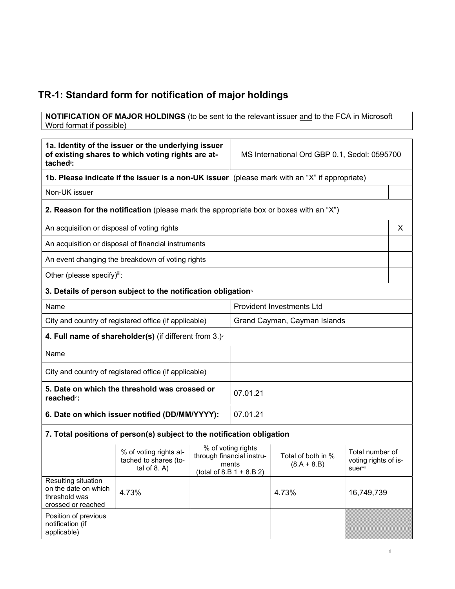# TR-1: Standard form for notification of major holdings

**NOTIFICATION OF MAJOR HOLDINGS** (to be sent to the relevant issuer and to the FCA in Microsoft Word format if possible)

| 1a. Identity of the issuer or the underlying issuer<br>of existing shares to which voting rights are at-<br>tached <sup>"</sup> : |                                                                                       | MS International Ord GBP 0.1, Sedol: 0595700                                           |                                  |                                     |                                                    |   |
|-----------------------------------------------------------------------------------------------------------------------------------|---------------------------------------------------------------------------------------|----------------------------------------------------------------------------------------|----------------------------------|-------------------------------------|----------------------------------------------------|---|
| 1b. Please indicate if the issuer is a non-UK issuer (please mark with an "X" if appropriate)                                     |                                                                                       |                                                                                        |                                  |                                     |                                                    |   |
| Non-UK issuer                                                                                                                     |                                                                                       |                                                                                        |                                  |                                     |                                                    |   |
|                                                                                                                                   | 2. Reason for the notification (please mark the appropriate box or boxes with an "X") |                                                                                        |                                  |                                     |                                                    |   |
| An acquisition or disposal of voting rights                                                                                       |                                                                                       |                                                                                        |                                  |                                     |                                                    | X |
|                                                                                                                                   | An acquisition or disposal of financial instruments                                   |                                                                                        |                                  |                                     |                                                    |   |
|                                                                                                                                   | An event changing the breakdown of voting rights                                      |                                                                                        |                                  |                                     |                                                    |   |
| Other (please specify)iii:                                                                                                        |                                                                                       |                                                                                        |                                  |                                     |                                                    |   |
|                                                                                                                                   | 3. Details of person subject to the notification obligation <sup>®</sup>              |                                                                                        |                                  |                                     |                                                    |   |
| Name                                                                                                                              |                                                                                       |                                                                                        | <b>Provident Investments Ltd</b> |                                     |                                                    |   |
| City and country of registered office (if applicable)                                                                             |                                                                                       |                                                                                        | Grand Cayman, Cayman Islands     |                                     |                                                    |   |
| 4. Full name of shareholder(s) (if different from $3.$ ) $\check{ }$                                                              |                                                                                       |                                                                                        |                                  |                                     |                                                    |   |
| Name                                                                                                                              |                                                                                       |                                                                                        |                                  |                                     |                                                    |   |
| City and country of registered office (if applicable)                                                                             |                                                                                       |                                                                                        |                                  |                                     |                                                    |   |
| 5. Date on which the threshold was crossed or<br>reached <sup>vi</sup> :                                                          |                                                                                       | 07.01.21                                                                               |                                  |                                     |                                                    |   |
| 6. Date on which issuer notified (DD/MM/YYYY):                                                                                    |                                                                                       |                                                                                        | 07.01.21                         |                                     |                                                    |   |
|                                                                                                                                   | 7. Total positions of person(s) subject to the notification obligation                |                                                                                        |                                  |                                     |                                                    |   |
|                                                                                                                                   | % of voting rights at-<br>tached to shares (to-<br>tal of $8. A$ )                    | % of voting rights<br>through financial instru-<br>ments<br>$(total of 8.B 1 + 8.B 2)$ |                                  | Total of both in %<br>$(8.A + 8.B)$ | Total number of<br>voting rights of is-<br>suervii |   |
| Resulting situation<br>on the date on which<br>threshold was<br>crossed or reached                                                | 4.73%                                                                                 |                                                                                        |                                  | 4.73%                               | 16,749,739                                         |   |
| Position of previous<br>notification (if<br>applicable)                                                                           |                                                                                       |                                                                                        |                                  |                                     |                                                    |   |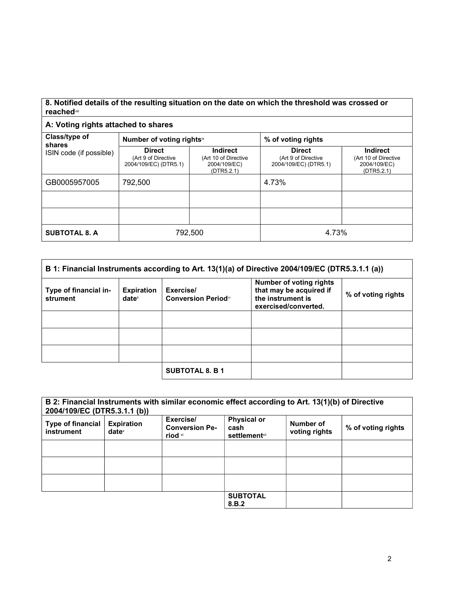#### 8. Notified details of the resulting situation on the date on which the threshold was crossed or reached<sup>vii</sup>

### A: Voting rights attached to shares

| Class/type of           |                                                               |                                                                       |                                                               |                                                                       |
|-------------------------|---------------------------------------------------------------|-----------------------------------------------------------------------|---------------------------------------------------------------|-----------------------------------------------------------------------|
| shares                  | Number of voting rightsix                                     |                                                                       | % of voting rights                                            |                                                                       |
| ISIN code (if possible) | <b>Direct</b><br>(Art 9 of Directive<br>2004/109/EC) (DTR5.1) | <b>Indirect</b><br>(Art 10 of Directive<br>2004/109/EC)<br>(DTR5.2.1) | <b>Direct</b><br>(Art 9 of Directive<br>2004/109/EC) (DTR5.1) | <b>Indirect</b><br>(Art 10 of Directive<br>2004/109/EC)<br>(DTR5.2.1) |
| GB0005957005            | 792,500                                                       |                                                                       | 4.73%                                                         |                                                                       |
|                         |                                                               |                                                                       |                                                               |                                                                       |
|                         |                                                               |                                                                       |                                                               |                                                                       |
| <b>SUBTOTAL 8. A</b>    | 792,500                                                       |                                                                       | 4.73%                                                         |                                                                       |

| B 1: Financial Instruments according to Art. 13(1)(a) of Directive 2004/109/EC (DTR5.3.1.1 (a)) |                               |                                          |                                                                                                        |                    |
|-------------------------------------------------------------------------------------------------|-------------------------------|------------------------------------------|--------------------------------------------------------------------------------------------------------|--------------------|
| Type of financial in-<br>strument                                                               | <b>Expiration</b><br>$date^x$ | Exercise/<br><b>Conversion Period</b> xi | <b>Number of voting rights</b><br>that may be acquired if<br>the instrument is<br>exercised/converted. | % of voting rights |
|                                                                                                 |                               |                                          |                                                                                                        |                    |
|                                                                                                 |                               |                                          |                                                                                                        |                    |
|                                                                                                 |                               |                                          |                                                                                                        |                    |
|                                                                                                 |                               | <b>SUBTOTAL 8. B 1</b>                   |                                                                                                        |                    |

| B 2: Financial Instruments with similar economic effect according to Art. 13(1)(b) of Directive<br>2004/109/EC (DTR5.3.1.1 (b)) |                               |                                               |                                                     |                            |                    |
|---------------------------------------------------------------------------------------------------------------------------------|-------------------------------|-----------------------------------------------|-----------------------------------------------------|----------------------------|--------------------|
| <b>Type of financial</b><br>instrument                                                                                          | <b>Expiration</b><br>$date^x$ | Exercise/<br><b>Conversion Pe-</b><br>riod xi | <b>Physical or</b><br>cash<br><b>settlement</b> xii | Number of<br>voting rights | % of voting rights |
|                                                                                                                                 |                               |                                               |                                                     |                            |                    |
|                                                                                                                                 |                               |                                               |                                                     |                            |                    |
|                                                                                                                                 |                               |                                               |                                                     |                            |                    |
|                                                                                                                                 |                               |                                               | <b>SUBTOTAL</b><br>8.B.2                            |                            |                    |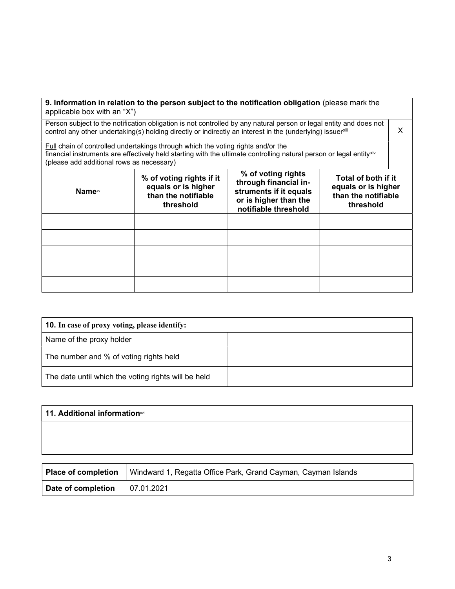| applicable box with an "X")                                                                                                                                                                                                                                      |                                                                                     | 9. Information in relation to the person subject to the notification obligation (please mark the                       |                                                                                |  |  |
|------------------------------------------------------------------------------------------------------------------------------------------------------------------------------------------------------------------------------------------------------------------|-------------------------------------------------------------------------------------|------------------------------------------------------------------------------------------------------------------------|--------------------------------------------------------------------------------|--|--|
| Person subject to the notification obligation is not controlled by any natural person or legal entity and does not<br>control any other undertaking(s) holding directly or indirectly an interest in the (underlying) issuerxill                                 |                                                                                     |                                                                                                                        |                                                                                |  |  |
| Full chain of controlled undertakings through which the voting rights and/or the<br>financial instruments are effectively held starting with the ultimate controlling natural person or legal entity <sup>xiv</sup><br>(please add additional rows as necessary) |                                                                                     |                                                                                                                        |                                                                                |  |  |
| Name <sup>∞</sup>                                                                                                                                                                                                                                                | % of voting rights if it<br>equals or is higher<br>than the notifiable<br>threshold | % of voting rights<br>through financial in-<br>struments if it equals<br>or is higher than the<br>notifiable threshold | Total of both if it<br>equals or is higher<br>than the notifiable<br>threshold |  |  |
|                                                                                                                                                                                                                                                                  |                                                                                     |                                                                                                                        |                                                                                |  |  |
|                                                                                                                                                                                                                                                                  |                                                                                     |                                                                                                                        |                                                                                |  |  |
|                                                                                                                                                                                                                                                                  |                                                                                     |                                                                                                                        |                                                                                |  |  |
|                                                                                                                                                                                                                                                                  |                                                                                     |                                                                                                                        |                                                                                |  |  |
|                                                                                                                                                                                                                                                                  |                                                                                     |                                                                                                                        |                                                                                |  |  |

| <b>10.</b> In case of proxy voting, please identify: |  |  |
|------------------------------------------------------|--|--|
| Name of the proxy holder                             |  |  |
| The number and % of voting rights held               |  |  |
| The date until which the voting rights will be held  |  |  |

| 11. Additional informationxvi |  |  |
|-------------------------------|--|--|
|                               |  |  |
|                               |  |  |
|                               |  |  |

| Place of completion | Windward 1, Regatta Office Park, Grand Cayman, Cayman Islands |
|---------------------|---------------------------------------------------------------|
| Date of completion  | 07.01.2021                                                    |